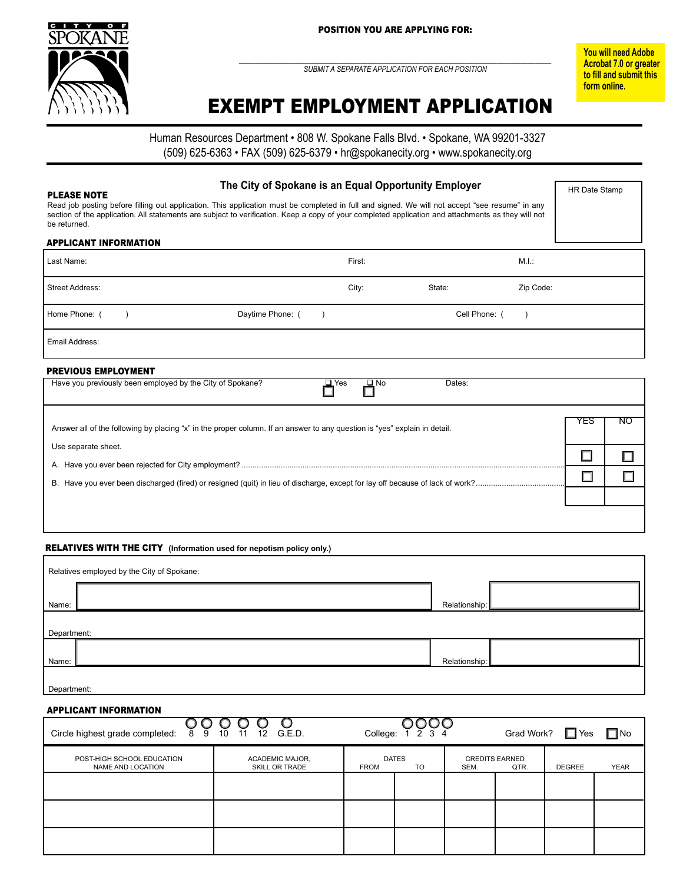

 $\_$  , and the set of the set of the set of the set of the set of the set of the set of the set of the set of the set of the set of the set of the set of the set of the set of the set of the set of the set of the set of th *submit a separate application for each position*

**You will need Adobe Acrobat 7.0 or greater to fill and submit this form online.**

HR Date Stamp

# EXEMPT EMPLOYMENT APPLICATION

Human Resources Department • 808 W. Spokane Falls Blvd. • Spokane, WA 99201-3327 (509) 625-6363 • FAX (509) 625-6379 • hr@spokanecity.org • www.spokanecity.org

## **The City of Spokane is an Equal Opportunity Employer**

#### Please Note

Read job posting before filling out application. This application must be completed in full and signed. We will not accept "see resume" in any section of the application. All statements are subject to verification. Keep a copy of your completed application and attachments as they will not be returned.

#### APPLICANT INFORMATION

| Last Name:                                                |                   | First:                     |               | M.I.:     |
|-----------------------------------------------------------|-------------------|----------------------------|---------------|-----------|
| <b>Street Address:</b>                                    |                   | City:                      | State:        | Zip Code: |
| Home Phone: (                                             | Daytime Phone: () |                            | Cell Phone: ( |           |
| Email Address:                                            |                   |                            |               |           |
| <b>PREVIOUS EMPLOYMENT</b>                                |                   |                            |               |           |
| Have you previously been employed by the City of Spokane? |                   | $\Box$ No<br>$\square$ Yes | Dates:        |           |

| Answer all of the following by placing "x" in the proper column. If an answer to any question is "yes" explain in detail. | 1 E C |  |
|---------------------------------------------------------------------------------------------------------------------------|-------|--|
| Use separate sheet.                                                                                                       |       |  |
|                                                                                                                           |       |  |
|                                                                                                                           |       |  |
|                                                                                                                           |       |  |
|                                                                                                                           |       |  |
|                                                                                                                           |       |  |
|                                                                                                                           |       |  |

#### **RELATIVES WITH THE CITY** (Information used for nepotism policy only.)

|             | Relatives employed by the City of Spokane: |                 |  |
|-------------|--------------------------------------------|-----------------|--|
| Name:       |                                            | Relationship: L |  |
| Department: |                                            |                 |  |
| Name:       |                                            | Relationship:   |  |
|             |                                            |                 |  |

# Department:

| Circle highest grade completed: $89$            | $10 \t11$<br>12 G.E.D.                   |             | College: $\overline{1}$ $\overline{2}$ $\overline{3}$ $\overline{4}$ |      | Grad Work?                    | $\Box$ Yes    | $\Box$ No   |
|-------------------------------------------------|------------------------------------------|-------------|----------------------------------------------------------------------|------|-------------------------------|---------------|-------------|
| POST-HIGH SCHOOL EDUCATION<br>NAME AND LOCATION | <b>ACADEMIC MAJOR,</b><br>SKILL OR TRADE | <b>FROM</b> | <b>DATES</b><br><b>TO</b>                                            | SEM. | <b>CREDITS EARNED</b><br>QTR. | <b>DEGREE</b> | <b>YEAR</b> |
|                                                 |                                          |             |                                                                      |      |                               |               |             |
|                                                 |                                          |             |                                                                      |      |                               |               |             |
|                                                 |                                          |             |                                                                      |      |                               |               |             |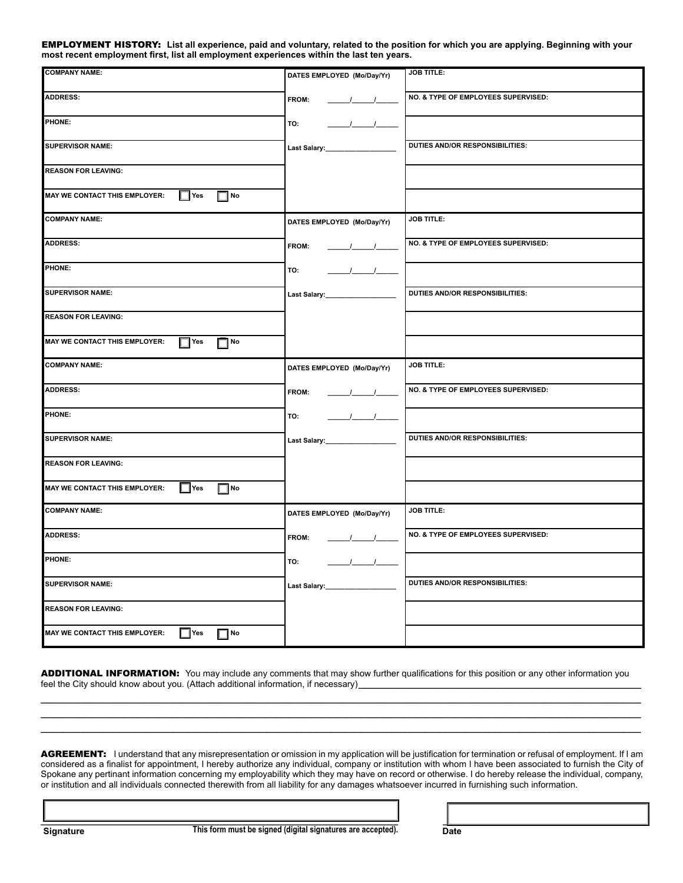employment history: **List all experience, paid and voluntary, related to the position for which you are applying. Beginning with your most recent employment first, list all employment experiences within the last ten years.**

| <b>COMPANY NAME:</b>                                     | DATES EMPLOYED (Mo/Day/Yr)           | <b>JOB TITLE:</b>                      |
|----------------------------------------------------------|--------------------------------------|----------------------------------------|
| <b>ADDRESS:</b>                                          | <b>FROM:</b>                         | NO. & TYPE OF EMPLOYEES SUPERVISED:    |
| PHONE:                                                   | $\frac{1}{2}$<br>TO:                 |                                        |
| <b>SUPERVISOR NAME:</b>                                  |                                      | <b>DUTIES AND/OR RESPONSIBILITIES:</b> |
| <b>REASON FOR LEAVING:</b>                               |                                      |                                        |
| $\Box$ Yes<br>$\Box$ No<br>MAY WE CONTACT THIS EMPLOYER: |                                      |                                        |
| <b>COMPANY NAME:</b>                                     | DATES EMPLOYED (Mo/Day/Yr)           | <b>JOB TITLE:</b>                      |
| <b>ADDRESS:</b>                                          | <b>FROM:</b><br>$\frac{1}{\sqrt{2}}$ | NO. & TYPE OF EMPLOYEES SUPERVISED:    |
| PHONE:                                                   | $\frac{1}{\sqrt{2}}$<br>TO:          |                                        |
| <b>SUPERVISOR NAME:</b>                                  |                                      | <b>DUTIES AND/OR RESPONSIBILITIES:</b> |
| <b>REASON FOR LEAVING:</b>                               |                                      |                                        |
| $\Box$ Yes<br>$\Box$ No<br>MAY WE CONTACT THIS EMPLOYER: |                                      |                                        |
| <b>COMPANY NAME:</b>                                     | DATES EMPLOYED (Mo/Day/Yr)           | <b>JOB TITLE:</b>                      |
| <b>ADDRESS:</b>                                          | <b>FROM:</b>                         | NO. & TYPE OF EMPLOYEES SUPERVISED:    |
| PHONE:                                                   | $\frac{1}{\sqrt{2}}$<br>TO:          |                                        |
| <b>SUPERVISOR NAME:</b>                                  | Last Salary:__________________       | <b>DUTIES AND/OR RESPONSIBILITIES:</b> |
| <b>REASON FOR LEAVING:</b>                               |                                      |                                        |
| $\Box$ Yes<br>$\Box$ No<br>MAY WE CONTACT THIS EMPLOYER: |                                      |                                        |
| <b>COMPANY NAME:</b>                                     | DATES EMPLOYED (Mo/Day/Yr)           | <b>JOB TITLE:</b>                      |
| <b>ADDRESS:</b>                                          | <b>FROM:</b><br>$\frac{1}{\sqrt{2}}$ | NO. & TYPE OF EMPLOYEES SUPERVISED:    |
| PHONE:                                                   | $\frac{1}{2}$<br>TO:                 |                                        |
| <b>SUPERVISOR NAME:</b>                                  | Last Salary:___________________      | DUTIES AND/OR RESPONSIBILITIES:        |
| <b>REASON FOR LEAVING:</b>                               |                                      |                                        |
|                                                          |                                      |                                        |

ADDITIONAL INFORMATION: You may include any comments that may show further qualifications for this position or any other information you feel the City should know about you. (Attach additional information, if necessary)

**\_\_\_\_\_\_\_\_\_\_\_\_\_\_\_\_\_\_\_\_\_\_\_\_\_\_\_\_\_\_\_\_\_\_\_\_\_\_\_\_\_\_\_\_\_\_\_\_\_\_\_\_\_\_\_\_\_\_\_\_\_\_\_\_\_\_\_\_\_\_\_\_\_\_\_\_\_\_\_\_\_\_\_\_\_\_\_\_\_\_\_\_\_\_\_\_\_\_\_\_\_\_\_\_\_\_\_\_\_\_\_\_\_\_\_\_\_\_\_\_\_ \_\_\_\_\_\_\_\_\_\_\_\_\_\_\_\_\_\_\_\_\_\_\_\_\_\_\_\_\_\_\_\_\_\_\_\_\_\_\_\_\_\_\_\_\_\_\_\_\_\_\_\_\_\_\_\_\_\_\_\_\_\_\_\_\_\_\_\_\_\_\_\_\_\_\_\_\_\_\_\_\_\_\_\_\_\_\_\_\_\_\_\_\_\_\_\_\_\_\_\_\_\_\_\_\_\_\_\_\_\_\_\_\_\_\_\_\_\_\_\_\_ \_\_\_\_\_\_\_\_\_\_\_\_\_\_\_\_\_\_\_\_\_\_\_\_\_\_\_\_\_\_\_\_\_\_\_\_\_\_\_\_\_\_\_\_\_\_\_\_\_\_\_\_\_\_\_\_\_\_\_\_\_\_\_\_\_\_\_\_\_\_\_\_\_\_\_\_\_\_\_\_\_\_\_\_\_\_\_\_\_\_\_\_\_\_\_\_\_\_\_\_\_\_\_\_\_\_\_\_\_\_\_\_\_\_\_\_\_\_\_\_\_**

AGREEMENT: I understand that any misrepresentation or omission in my application will be justification for termination or refusal of employment. If I am considered as a finalist for appointment, I hereby authorize any individual, company or institution with whom I have been associated to furnish the City of Spokane any pertinant information concerning my employability which they may have on record or otherwise. I do hereby release the individual, company, or institution and all individuals connected therewith from all liability for any damages whatsoever incurred in furnishing such information.

**\_\_\_\_\_\_\_\_\_\_\_\_\_\_\_\_\_\_\_\_\_\_\_\_\_\_\_\_\_\_\_\_\_\_\_\_\_\_\_\_\_\_\_\_\_\_\_\_\_\_\_\_\_\_\_\_\_\_\_\_\_\_\_\_\_\_\_\_\_\_\_\_ \_\_\_\_\_\_\_\_\_\_\_\_\_\_\_\_\_\_\_\_\_\_\_\_\_\_\_\_\_\_\_\_\_\_\_\_\_\_\_\_ Signature Date This form must be signed (digital signatures are accepted).**